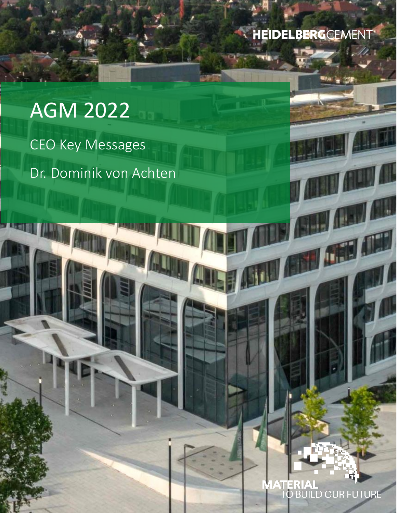**HEIDELBERGCEMENT** 

## AGM 2022 CEO Key Messages Dr. Dominik von Achten

**MATERI**<br>TO B LD OUR FUTURE **BU** 

T

**TEL**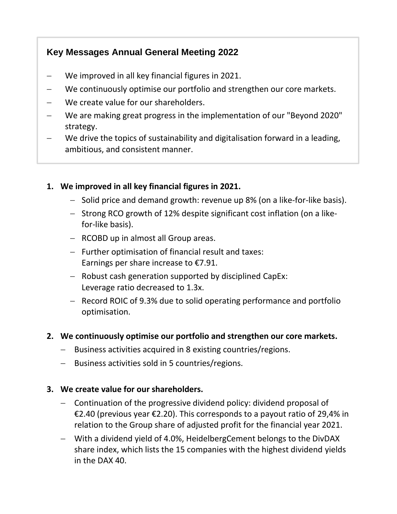## **Key Messages Annual General Meeting 2022**

- − We improved in all key financial figures in 2021.
- We continuously optimise our portfolio and strengthen our core markets.
- We create value for our shareholders.
- − We are making great progress in the implementation of our "Beyond 2020" strategy.
- We drive the topics of sustainability and digitalisation forward in a leading, ambitious, and consistent manner.

## **1. We improved in all key financial figures in 2021.**

- − Solid price and demand growth: revenue up 8% (on a like-for-like basis).
- − Strong RCO growth of 12% despite significant cost inflation (on a likefor-like basis).
- − RCOBD up in almost all Group areas.
- − Further optimisation of financial result and taxes: Earnings per share increase to  $£7.91$ .
- − Robust cash generation supported by disciplined CapEx: Leverage ratio decreased to 1.3x.
- − Record ROIC of 9.3% due to solid operating performance and portfolio optimisation.
- **2. We continuously optimise our portfolio and strengthen our core markets.**
	- Business activities acquired in 8 existing countries/regions.
	- − Business activities sold in 5 countries/regions.

## **3. We create value for our shareholders.**

- − Continuation of the progressive dividend policy: dividend proposal of €2.40 (previous year €2.20). This corresponds to a payout ratio of 29,4% in relation to the Group share of adjusted profit for the financial year 2021.
- − With a dividend yield of 4.0%, HeidelbergCement belongs to the DivDAX share index, which lists the 15 companies with the highest dividend yields in the DAX 40.